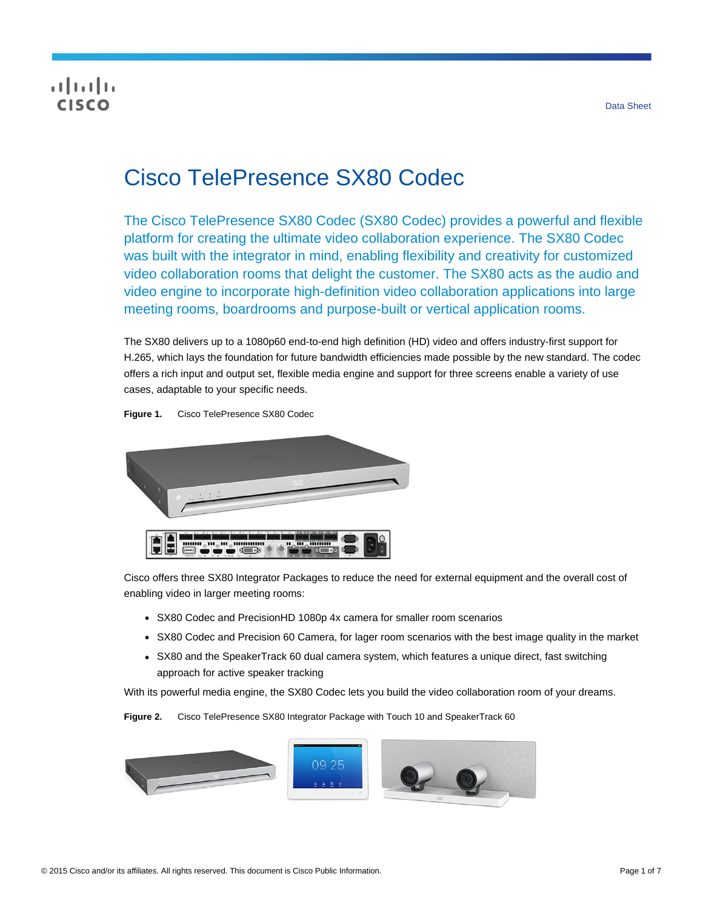## **CISCO**

# Cisco TelePresence SX80 Codec

The Cisco TelePresence SX80 Codec (SX80 Codec) provides a powerful and flexible platform for creating the ultimate video collaboration experience. The SX80 Codec was built with the integrator in mind, enabling flexibility and creativity for customized video collaboration rooms that delight the customer. The SX80 acts as the audio and video engine to incorporate high-definition video collaboration applications into large meeting rooms, boardrooms and purpose-built or vertical application rooms.

The SX80 delivers up to a 1080p60 end-to-end high definition (HD) video and offers industry-first support for H.265, which lays the foundation for future bandwidth efficiencies made possible by the new standard. The codec offers a rich input and output set, flexible media engine and support for three screens enable a variety of use cases, adaptable to your specific needs.

**Figure 1.** Cisco TelePresence SX80 Codec



Cisco offers three SX80 Integrator Packages to reduce the need for external equipment and the overall cost of enabling video in larger meeting rooms:

- SX80 Codec and PrecisionHD 1080p 4x camera for smaller room scenarios
- SX80 Codec and Precision 60 Camera, for lager room scenarios with the best image quality in the market
- SX80 and the SpeakerTrack 60 dual camera system, which features a unique direct, fast switching approach for active speaker tracking

With its powerful media engine, the SX80 Codec lets you build the video collaboration room of your dreams.

**Figure 2.** Cisco TelePresence SX80 Integrator Package with Touch 10 and SpeakerTrack 60

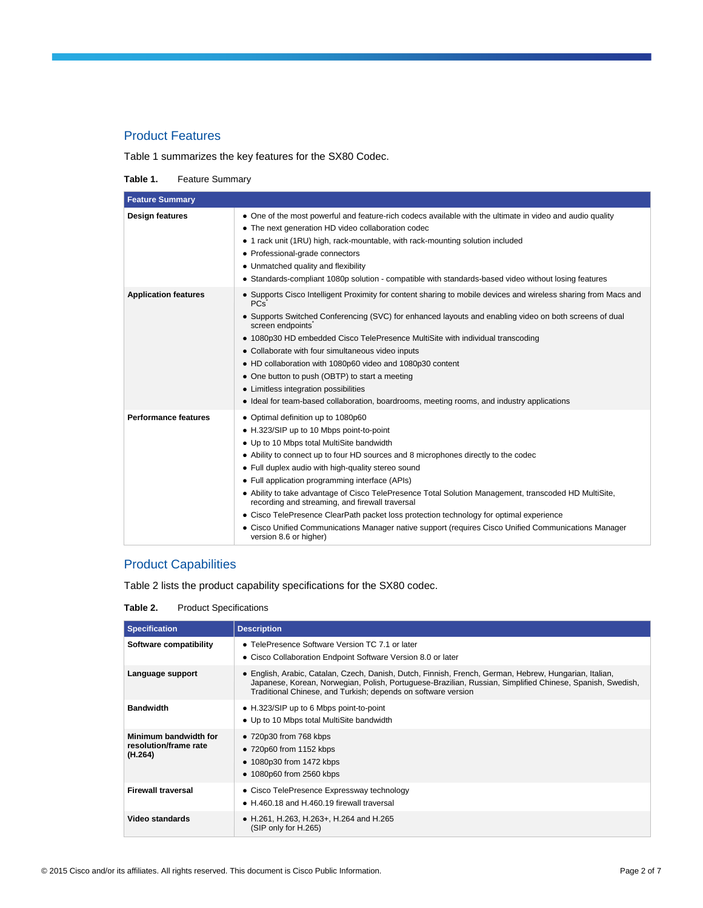#### Product Features

Table 1 summarizes the key features for the SX80 Codec.

**Table 1.** Feature Summary

| <b>Feature Summary</b>      |                                                                                                                                                                                                                                                                                                                                                                                                                                                                                                                                                                                                                                                                                                                     |  |
|-----------------------------|---------------------------------------------------------------------------------------------------------------------------------------------------------------------------------------------------------------------------------------------------------------------------------------------------------------------------------------------------------------------------------------------------------------------------------------------------------------------------------------------------------------------------------------------------------------------------------------------------------------------------------------------------------------------------------------------------------------------|--|
| <b>Design features</b>      | • One of the most powerful and feature-rich codecs available with the ultimate in video and audio quality<br>• The next generation HD video collaboration codec<br>1 rack unit (1RU) high, rack-mountable, with rack-mounting solution included<br>$\bullet$<br>• Professional-grade connectors<br>• Unmatched quality and flexibility<br>• Standards-compliant 1080p solution - compatible with standards-based video without losing features                                                                                                                                                                                                                                                                      |  |
| <b>Application features</b> | • Supports Cisco Intelligent Proximity for content sharing to mobile devices and wireless sharing from Macs and<br><b>PCs</b><br>• Supports Switched Conferencing (SVC) for enhanced layouts and enabling video on both screens of dual<br>screen endpoints<br>• 1080p30 HD embedded Cisco TelePresence MultiSite with individual transcoding<br>• Collaborate with four simultaneous video inputs<br>• HD collaboration with 1080p60 video and 1080p30 content<br>• One button to push (OBTP) to start a meeting<br>• Limitless integration possibilities<br>• Ideal for team-based collaboration, boardrooms, meeting rooms, and industry applications                                                            |  |
| <b>Performance features</b> | • Optimal definition up to 1080p60<br>• H.323/SIP up to 10 Mbps point-to-point<br>• Up to 10 Mbps total MultiSite bandwidth<br>• Ability to connect up to four HD sources and 8 microphones directly to the codec<br>• Full duplex audio with high-quality stereo sound<br>• Full application programming interface (APIs)<br>• Ability to take advantage of Cisco TelePresence Total Solution Management, transcoded HD MultiSite,<br>recording and streaming, and firewall traversal<br>• Cisco TelePresence ClearPath packet loss protection technology for optimal experience<br>• Cisco Unified Communications Manager native support (requires Cisco Unified Communications Manager<br>version 8.6 or higher) |  |

### Product Capabilities

Table 2 lists the product capability specifications for the SX80 codec.

**Table 2.** Product Specifications

| <b>Specification</b>                                      | <b>Description</b>                                                                                                                                                                                                                                                                   |
|-----------------------------------------------------------|--------------------------------------------------------------------------------------------------------------------------------------------------------------------------------------------------------------------------------------------------------------------------------------|
| Software compatibility                                    | • TelePresence Software Version TC 7.1 or later<br>• Cisco Collaboration Endpoint Software Version 8.0 or later                                                                                                                                                                      |
| Language support                                          | • English, Arabic, Catalan, Czech, Danish, Dutch, Finnish, French, German, Hebrew, Hungarian, Italian,<br>Japanese, Korean, Norwegian, Polish, Portuguese-Brazilian, Russian, Simplified Chinese, Spanish, Swedish,<br>Traditional Chinese, and Turkish; depends on software version |
| <b>Bandwidth</b>                                          | • H.323/SIP up to 6 Mbps point-to-point<br>• Up to 10 Mbps total MultiSite bandwidth                                                                                                                                                                                                 |
| Minimum bandwidth for<br>resolution/frame rate<br>(H.264) | • 720p30 from 768 kbps<br>$\bullet$ 720p60 from 1152 kbps<br>$\bullet$ 1080p30 from 1472 kbps<br>• 1080p60 from 2560 kbps                                                                                                                                                            |
| <b>Firewall traversal</b>                                 | • Cisco TelePresence Expressway technology<br>• H.460.18 and H.460.19 firewall traversal                                                                                                                                                                                             |
| Video standards                                           | • H.261, H.263, H.263+, H.264 and H.265<br>(SIP only for H.265)                                                                                                                                                                                                                      |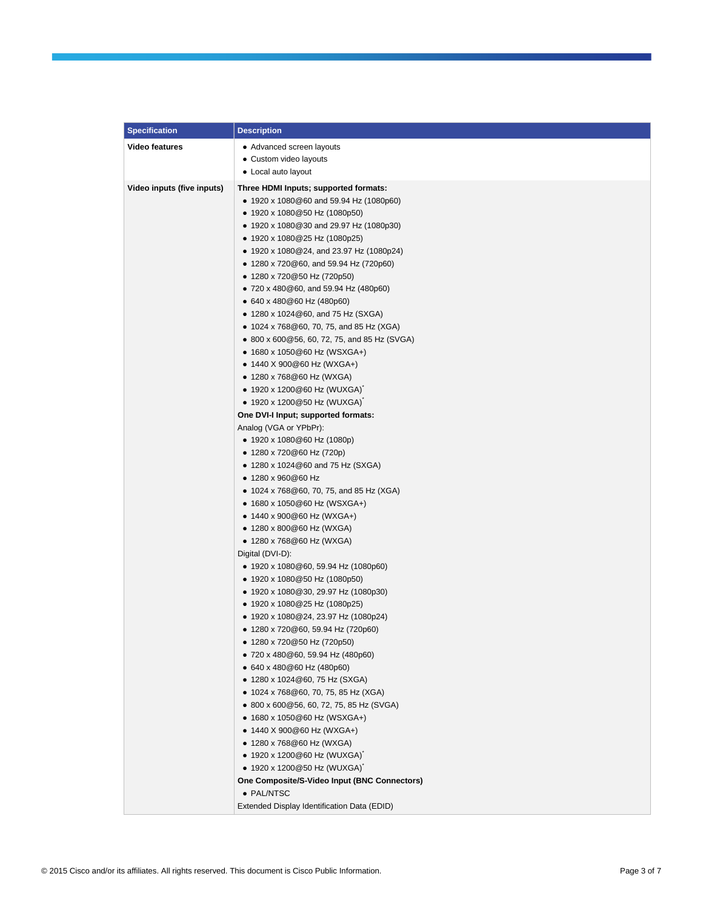| <b>Specification</b>       | <b>Description</b>                                                            |
|----------------------------|-------------------------------------------------------------------------------|
| <b>Video features</b>      | • Advanced screen layouts                                                     |
|                            | • Custom video layouts                                                        |
|                            | • Local auto layout                                                           |
| Video inputs (five inputs) | Three HDMI Inputs; supported formats:                                         |
|                            | ● 1920 x 1080@60 and 59.94 Hz (1080p60)                                       |
|                            | • 1920 x 1080@50 Hz (1080p50)                                                 |
|                            | ● 1920 x 1080@30 and 29.97 Hz (1080p30)                                       |
|                            | ● 1920 x 1080@25 Hz (1080p25)                                                 |
|                            | • 1920 x 1080@24, and 23.97 Hz (1080p24)                                      |
|                            | • 1280 x 720@60, and 59.94 Hz (720p60)                                        |
|                            | ● 1280 x 720@50 Hz (720p50)                                                   |
|                            | • 720 x 480 @ 60, and 59.94 Hz (480p60)                                       |
|                            | • 640 x 480@60 Hz (480p60)                                                    |
|                            | • 1280 x 1024 $@60$ , and 75 Hz (SXGA)                                        |
|                            | • 1024 x 768@60, 70, 75, and 85 Hz (XGA)                                      |
|                            | • 800 x 600 @ 56, 60, 72, 75, and 85 Hz (SVGA)                                |
|                            | ● 1680 x 1050@60 Hz (WSXGA+)                                                  |
|                            | • 1440 X 900@60 Hz (WXGA+)                                                    |
|                            | ● 1280 x 768@60 Hz (WXGA)                                                     |
|                            | ● 1920 x 1200@60 Hz (WUXGA)                                                   |
|                            | • 1920 x 1200@50 Hz (WUXGA)                                                   |
|                            | One DVI-I Input; supported formats:                                           |
|                            | Analog (VGA or YPbPr):                                                        |
|                            | • 1920 x 1080@60 Hz (1080p)                                                   |
|                            | ● 1280 x 720@60 Hz (720p)                                                     |
|                            | • 1280 x 1024@60 and 75 Hz (SXGA)                                             |
|                            | ● 1280 x 960@60 Hz                                                            |
|                            | • 1024 x 768@60, 70, 75, and 85 Hz (XGA)                                      |
|                            | ● 1680 x 1050@60 Hz (WSXGA+)                                                  |
|                            | • 1440 x 900@60 Hz (WXGA+)                                                    |
|                            | • 1280 x 800@60 Hz (WXGA)                                                     |
|                            | ● 1280 x 768@60 Hz (WXGA)                                                     |
|                            | Digital (DVI-D):                                                              |
|                            | $\bullet$ 1920 x 1080@60, 59.94 Hz (1080p60)<br>• 1920 x 1080@50 Hz (1080p50) |
|                            |                                                                               |
|                            | ● 1920 x 1080@30, 29.97 Hz (1080p30)<br>• 1920 x 1080@25 Hz (1080p25)         |
|                            | • 1920 x 1080@24, 23.97 Hz (1080p24)                                          |
|                            | 1280 x 720@60, 59.94 Hz (720p60)                                              |
|                            | ● 1280 x 720@50 Hz (720p50)                                                   |
|                            | ● 720 x 480 @ 60, 59.94 Hz (480 p60)                                          |
|                            | • 640 x 480@60 Hz (480p60)                                                    |
|                            | • 1280 x 1024@60, 75 Hz (SXGA)                                                |
|                            | • 1024 x 768@60, 70, 75, 85 Hz (XGA)                                          |
|                            | ● 800 x 600 @ 56, 60, 72, 75, 85 Hz (SVGA)                                    |
|                            | • 1680 x 1050@60 Hz (WSXGA+)                                                  |
|                            | ● 1440 X 900@60 Hz (WXGA+)                                                    |
|                            | • 1280 x 768@60 Hz (WXGA)                                                     |
|                            | ● 1920 x 1200@60 Hz (WUXGA)                                                   |
|                            | ● 1920 x 1200@50 Hz (WUXGA)                                                   |
|                            | One Composite/S-Video Input (BNC Connectors)                                  |
|                            | · PAL/NTSC                                                                    |
|                            | Extended Display Identification Data (EDID)                                   |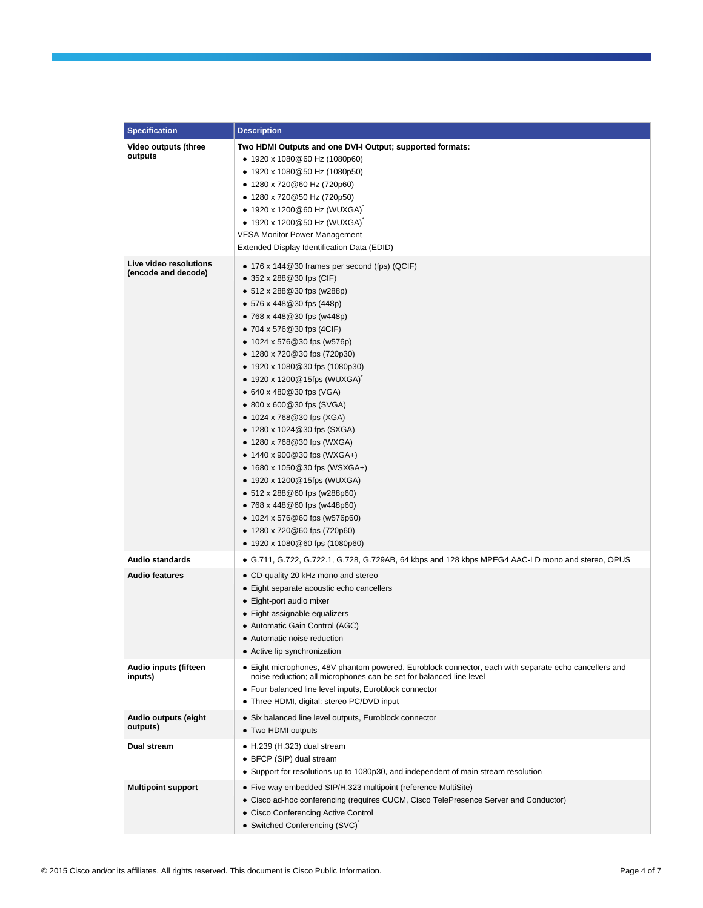| <b>Specification</b>                          | <b>Description</b>                                                                                                                                                                                                                                                                                                                                                                                                                                                                                                                                                                                                                                                                                                                                                                                                                |
|-----------------------------------------------|-----------------------------------------------------------------------------------------------------------------------------------------------------------------------------------------------------------------------------------------------------------------------------------------------------------------------------------------------------------------------------------------------------------------------------------------------------------------------------------------------------------------------------------------------------------------------------------------------------------------------------------------------------------------------------------------------------------------------------------------------------------------------------------------------------------------------------------|
| Video outputs (three<br>outputs               | Two HDMI Outputs and one DVI-I Output; supported formats:<br>• 1920 x 1080@60 Hz (1080p60)<br>• 1920 x 1080@50 Hz (1080p50)<br>● 1280 x 720@60 Hz (720p60)<br>● 1280 x 720@50 Hz (720p50)<br>• 1920 x 1200@60 Hz (WUXGA)<br>● 1920 x 1200@50 Hz (WUXGA)<br><b>VESA Monitor Power Management</b><br>Extended Display Identification Data (EDID)                                                                                                                                                                                                                                                                                                                                                                                                                                                                                    |
| Live video resolutions<br>(encode and decode) | $\bullet$ 176 x 144 @ 30 frames per second (fps) (QCIF)<br>● 352 x 288@30 fps (CIF)<br>$\bullet$ 512 x 288@30 fps (w288p)<br>$\bullet$ 576 x 448@30 fps (448p)<br>• 768 x 448@30 fps (w448p)<br>• 704 x 576 $@30$ fps (4CIF)<br>• 1024 x 576 $@30$ fps (w576p)<br>● 1280 x 720@30 fps (720p30)<br>● 1920 x 1080@30 fps (1080p30)<br>● 1920 x 1200@15fps (WUXGA)<br>• 640 x 480 $@30$ fps (VGA)<br>$\bullet$ 800 x 600 $@30$ fps (SVGA)<br>• 1024 x 768 $@30$ fps (XGA)<br>● 1280 x 1024@30 fps (SXGA)<br>● 1280 x 768@30 fps (WXGA)<br>• 1440 x 900 $@30$ fps (WXGA+)<br>• 1680 x 1050 $@30$ fps (WSXGA+)<br>● 1920 x 1200@15fps (WUXGA)<br>$\bullet$ 512 x 288 $@60$ fps (w288p60)<br>$\bullet$ 768 x 448 @ 60 fps (w448 p60)<br>● 1024 x 576@60 fps (w576p60)<br>● 1280 x 720@60 fps (720p60)<br>● 1920 x 1080@60 fps (1080p60) |
| <b>Audio standards</b>                        | • G.711, G.722, G.722.1, G.728, G.729AB, 64 kbps and 128 kbps MPEG4 AAC-LD mono and stereo, OPUS                                                                                                                                                                                                                                                                                                                                                                                                                                                                                                                                                                                                                                                                                                                                  |
| <b>Audio features</b>                         | • CD-quality 20 kHz mono and stereo<br>• Eight separate acoustic echo cancellers<br>• Eight-port audio mixer<br>• Eight assignable equalizers<br>• Automatic Gain Control (AGC)<br>• Automatic noise reduction<br>• Active lip synchronization                                                                                                                                                                                                                                                                                                                                                                                                                                                                                                                                                                                    |
| Audio inputs (fifteen<br>inputs)              | • Eight microphones, 48V phantom powered, Euroblock connector, each with separate echo cancellers and<br>noise reduction; all microphones can be set for balanced line level<br>• Four balanced line level inputs, Euroblock connector<br>• Three HDMI, digital: stereo PC/DVD input                                                                                                                                                                                                                                                                                                                                                                                                                                                                                                                                              |
| Audio outputs (eight<br>outputs)              | · Six balanced line level outputs, Euroblock connector<br>• Two HDMI outputs                                                                                                                                                                                                                                                                                                                                                                                                                                                                                                                                                                                                                                                                                                                                                      |
| Dual stream                                   | $\bullet$ H.239 (H.323) dual stream<br>• BFCP (SIP) dual stream<br>• Support for resolutions up to 1080p30, and independent of main stream resolution                                                                                                                                                                                                                                                                                                                                                                                                                                                                                                                                                                                                                                                                             |
| <b>Multipoint support</b>                     | • Five way embedded SIP/H.323 multipoint (reference MultiSite)<br>• Cisco ad-hoc conferencing (requires CUCM, Cisco TelePresence Server and Conductor)<br>• Cisco Conferencing Active Control<br>• Switched Conferencing (SVC)                                                                                                                                                                                                                                                                                                                                                                                                                                                                                                                                                                                                    |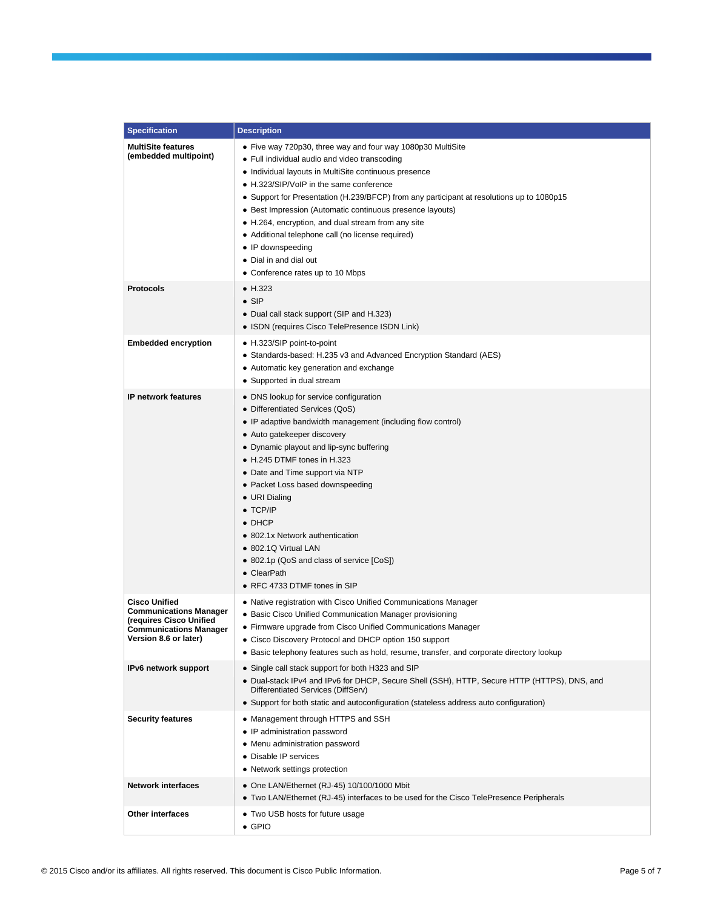| <b>Specification</b>                                                                                                                       | <b>Description</b>                                                                                                                                                                                                                                                                                                                                                                                                                                                                                                                                                       |
|--------------------------------------------------------------------------------------------------------------------------------------------|--------------------------------------------------------------------------------------------------------------------------------------------------------------------------------------------------------------------------------------------------------------------------------------------------------------------------------------------------------------------------------------------------------------------------------------------------------------------------------------------------------------------------------------------------------------------------|
| <b>MultiSite features</b><br>(embedded multipoint)                                                                                         | • Five way 720p30, three way and four way 1080p30 MultiSite<br>• Full individual audio and video transcoding<br>• Individual layouts in MultiSite continuous presence<br>• H.323/SIP/VoIP in the same conference<br>• Support for Presentation (H.239/BFCP) from any participant at resolutions up to 1080p15<br>• Best Impression (Automatic continuous presence layouts)<br>• H.264, encryption, and dual stream from any site<br>• Additional telephone call (no license required)<br>• IP downspeeding<br>• Dial in and dial out<br>• Conference rates up to 10 Mbps |
| <b>Protocols</b>                                                                                                                           | $\bullet$ H.323<br>$\bullet$ SIP<br>• Dual call stack support (SIP and H.323)<br>• ISDN (requires Cisco TelePresence ISDN Link)                                                                                                                                                                                                                                                                                                                                                                                                                                          |
| <b>Embedded encryption</b>                                                                                                                 | • H.323/SIP point-to-point<br>• Standards-based: H.235 v3 and Advanced Encryption Standard (AES)<br>• Automatic key generation and exchange<br>• Supported in dual stream                                                                                                                                                                                                                                                                                                                                                                                                |
| <b>IP network features</b>                                                                                                                 | • DNS lookup for service configuration<br>• Differentiated Services (QoS)<br>• IP adaptive bandwidth management (including flow control)<br>• Auto gatekeeper discovery<br>• Dynamic playout and lip-sync buffering<br>• H.245 DTMF tones in H.323<br>• Date and Time support via NTP<br>• Packet Loss based downspeeding<br>• URI Dialing<br>$\bullet$ TCP/IP<br>$\bullet$ DHCP<br>• 802.1x Network authentication<br>• 802.1Q Virtual LAN<br>• 802.1p (QoS and class of service [CoS])<br>• ClearPath<br>• RFC 4733 DTMF tones in SIP                                  |
| <b>Cisco Unified</b><br><b>Communications Manager</b><br>(requires Cisco Unified<br><b>Communications Manager</b><br>Version 8.6 or later) | • Native registration with Cisco Unified Communications Manager<br>• Basic Cisco Unified Communication Manager provisioning<br>• Firmware upgrade from Cisco Unified Communications Manager<br>• Cisco Discovery Protocol and DHCP option 150 support<br>• Basic telephony features such as hold, resume, transfer, and corporate directory lookup                                                                                                                                                                                                                       |
| IPv6 network support                                                                                                                       | • Single call stack support for both H323 and SIP<br>. Dual-stack IPv4 and IPv6 for DHCP, Secure Shell (SSH), HTTP, Secure HTTP (HTTPS), DNS, and<br>Differentiated Services (DiffServ)<br>• Support for both static and autoconfiguration (stateless address auto configuration)                                                                                                                                                                                                                                                                                        |
| <b>Security features</b>                                                                                                                   | • Management through HTTPS and SSH<br>• IP administration password<br>• Menu administration password<br>• Disable IP services<br>• Network settings protection                                                                                                                                                                                                                                                                                                                                                                                                           |
| <b>Network interfaces</b>                                                                                                                  | • One LAN/Ethernet (RJ-45) 10/100/1000 Mbit<br>. Two LAN/Ethernet (RJ-45) interfaces to be used for the Cisco TelePresence Peripherals                                                                                                                                                                                                                                                                                                                                                                                                                                   |
| Other interfaces                                                                                                                           | • Two USB hosts for future usage<br>$\bullet$ GPIO                                                                                                                                                                                                                                                                                                                                                                                                                                                                                                                       |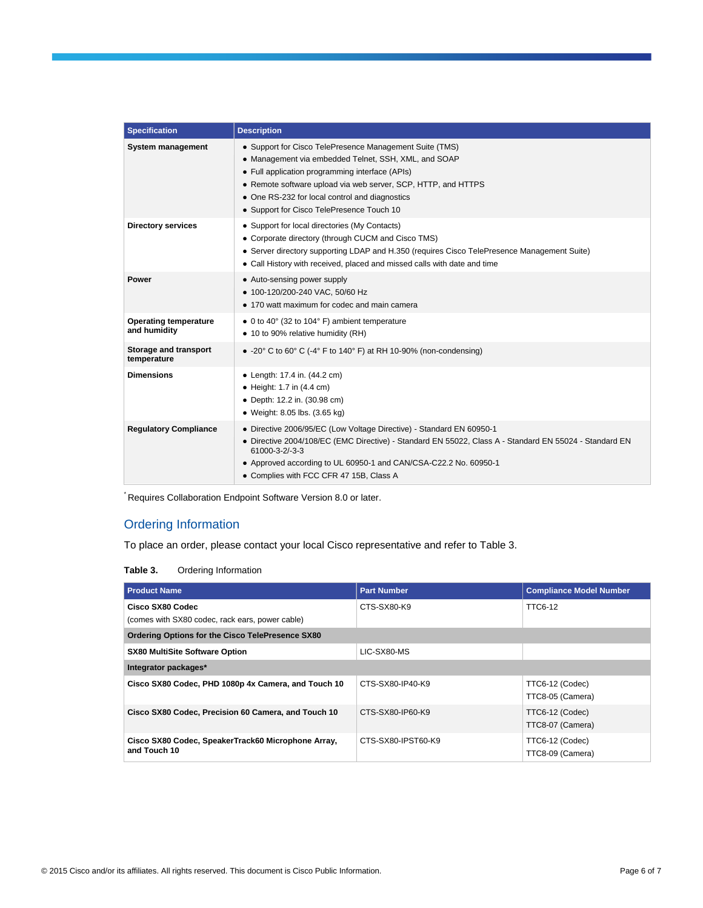| <b>Specification</b>                         | <b>Description</b>                                                                                                                                                                                                                                                                                                                 |
|----------------------------------------------|------------------------------------------------------------------------------------------------------------------------------------------------------------------------------------------------------------------------------------------------------------------------------------------------------------------------------------|
| System management                            | • Support for Cisco TelePresence Management Suite (TMS)<br>• Management via embedded Telnet, SSH, XML, and SOAP<br>• Full application programming interface (APIs)<br>• Remote software upload via web server, SCP, HTTP, and HTTPS<br>• One RS-232 for local control and diagnostics<br>• Support for Cisco TelePresence Touch 10 |
| <b>Directory services</b>                    | • Support for local directories (My Contacts)<br>• Corporate directory (through CUCM and Cisco TMS)<br>• Server directory supporting LDAP and H.350 (requires Cisco TelePresence Management Suite)<br>• Call History with received, placed and missed calls with date and time                                                     |
| Power                                        | • Auto-sensing power supply<br>• 100-120/200-240 VAC, 50/60 Hz<br>• 170 watt maximum for codec and main camera                                                                                                                                                                                                                     |
| <b>Operating temperature</b><br>and humidity | • 0 to 40° (32 to 104° F) ambient temperature<br>• 10 to 90% relative humidity (RH)                                                                                                                                                                                                                                                |
| Storage and transport<br>temperature         | $\bullet$ -20° C to 60° C (-4° F to 140° F) at RH 10-90% (non-condensing)                                                                                                                                                                                                                                                          |
| <b>Dimensions</b>                            | • Length: 17.4 in. (44.2 cm)<br>$\bullet$ Height: 1.7 in (4.4 cm)<br>• Depth: 12.2 in. (30.98 cm)<br>• Weight: 8.05 lbs. (3.65 kg)                                                                                                                                                                                                 |
| <b>Regulatory Compliance</b>                 | • Directive 2006/95/EC (Low Voltage Directive) - Standard EN 60950-1<br>• Directive 2004/108/EC (EMC Directive) - Standard EN 55022, Class A - Standard EN 55024 - Standard EN<br>61000-3-2/-3-3<br>• Approved according to UL 60950-1 and CAN/CSA-C22.2 No. 60950-1<br>• Complies with FCC CFR 47 15B, Class A                    |

\* Requires Collaboration Endpoint Software Version 8.0 or later.

#### Ordering Information

To place an order, please contact your local Cisco representative and refer to Table 3.

**Table 3.** Ordering Information

| <b>Product Name</b>                                                | <b>Part Number</b> | <b>Compliance Model Number</b>      |  |  |
|--------------------------------------------------------------------|--------------------|-------------------------------------|--|--|
| Cisco SX80 Codec                                                   | CTS-SX80-K9        | <b>TTC6-12</b>                      |  |  |
| (comes with SX80 codec, rack ears, power cable)                    |                    |                                     |  |  |
| Ordering Options for the Cisco TelePresence SX80                   |                    |                                     |  |  |
| <b>SX80 MultiSite Software Option</b>                              | LIC-SX80-MS        |                                     |  |  |
| Integrator packages*                                               |                    |                                     |  |  |
| Cisco SX80 Codec, PHD 1080p 4x Camera, and Touch 10                | CTS-SX80-IP40-K9   | TTC6-12 (Codec)                     |  |  |
|                                                                    |                    | TTC8-05 (Camera)                    |  |  |
| Cisco SX80 Codec, Precision 60 Camera, and Touch 10                | CTS-SX80-IP60-K9   | TTC6-12 (Codec)                     |  |  |
|                                                                    |                    | TTC8-07 (Camera)                    |  |  |
| Cisco SX80 Codec, SpeakerTrack60 Microphone Array,<br>and Touch 10 | CTS-SX80-IPST60-K9 | TTC6-12 (Codec)<br>TTC8-09 (Camera) |  |  |